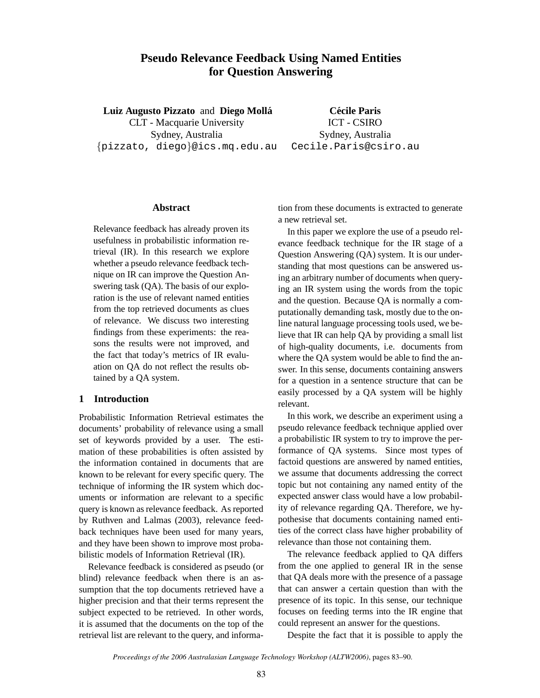# **Pseudo Relevance Feedback Using Named Entities for Question Answering**

**Luiz Augusto Pizzato** and **Diego Molla´** CLT - Macquarie University Sydney, Australia {pizzato, diego}@ics.mq.edu.au

**Cecile Paris ´** ICT - CSIRO Sydney, Australia Cecile.Paris@csiro.au

#### **Abstract**

Relevance feedback has already proven its usefulness in probabilistic information retrieval (IR). In this research we explore whether a pseudo relevance feedback technique on IR can improve the Question Answering task (QA). The basis of our exploration is the use of relevant named entities from the top retrieved documents as clues of relevance. We discuss two interesting findings from these experiments: the reasons the results were not improved, and the fact that today's metrics of IR evaluation on QA do not reflect the results obtained by a QA system.

### **1 Introduction**

Probabilistic Information Retrieval estimates the documents' probability of relevance using a small set of keywords provided by a user. The estimation of these probabilities is often assisted by the information contained in documents that are known to be relevant for every specific query. The technique of informing the IR system which documents or information are relevant to a specific query is known as relevance feedback. As reported by Ruthven and Lalmas (2003), relevance feedback techniques have been used for many years, and they have been shown to improve most probabilistic models of Information Retrieval (IR).

Relevance feedback is considered as pseudo (or blind) relevance feedback when there is an assumption that the top documents retrieved have a higher precision and that their terms represent the subject expected to be retrieved. In other words, it is assumed that the documents on the top of the retrieval list are relevant to the query, and informa-

tion from these documents is extracted to generate a new retrieval set.

In this paper we explore the use of a pseudo relevance feedback technique for the IR stage of a Question Answering (QA) system. It is our understanding that most questions can be answered using an arbitrary number of documents when querying an IR system using the words from the topic and the question. Because QA is normally a computationally demanding task, mostly due to the online natural language processing tools used, we believe that IR can help QA by providing a small list of high-quality documents, i.e. documents from where the QA system would be able to find the answer. In this sense, documents containing answers for a question in a sentence structure that can be easily processed by a QA system will be highly relevant.

In this work, we describe an experiment using a pseudo relevance feedback technique applied over a probabilistic IR system to try to improve the performance of QA systems. Since most types of factoid questions are answered by named entities, we assume that documents addressing the correct topic but not containing any named entity of the expected answer class would have a low probability of relevance regarding QA. Therefore, we hypothesise that documents containing named entities of the correct class have higher probability of relevance than those not containing them.

The relevance feedback applied to QA differs from the one applied to general IR in the sense that QA deals more with the presence of a passage that can answer a certain question than with the presence of its topic. In this sense, our technique focuses on feeding terms into the IR engine that could represent an answer for the questions.

Despite the fact that it is possible to apply the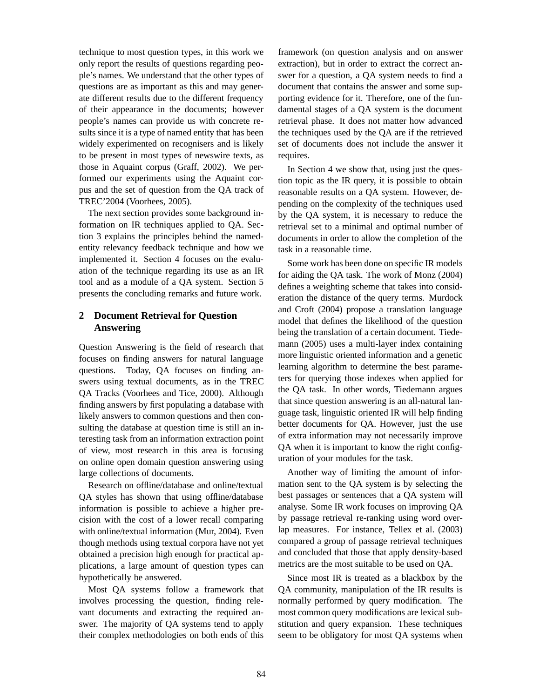technique to most question types, in this work we only report the results of questions regarding people's names. We understand that the other types of questions are as important as this and may generate different results due to the different frequency of their appearance in the documents; however people's names can provide us with concrete results since it is a type of named entity that has been widely experimented on recognisers and is likely to be present in most types of newswire texts, as those in Aquaint corpus (Graff, 2002). We performed our experiments using the Aquaint corpus and the set of question from the QA track of TREC'2004 (Voorhees, 2005).

The next section provides some background information on IR techniques applied to QA. Section 3 explains the principles behind the namedentity relevancy feedback technique and how we implemented it. Section 4 focuses on the evaluation of the technique regarding its use as an IR tool and as a module of a QA system. Section 5 presents the concluding remarks and future work.

# **2 Document Retrieval for Question Answering**

Question Answering is the field of research that focuses on finding answers for natural language questions. Today, QA focuses on finding answers using textual documents, as in the TREC QA Tracks (Voorhees and Tice, 2000). Although finding answers by first populating a database with likely answers to common questions and then consulting the database at question time is still an interesting task from an information extraction point of view, most research in this area is focusing on online open domain question answering using large collections of documents.

Research on offline/database and online/textual QA styles has shown that using offline/database information is possible to achieve a higher precision with the cost of a lower recall comparing with online/textual information (Mur, 2004). Even though methods using textual corpora have not yet obtained a precision high enough for practical applications, a large amount of question types can hypothetically be answered.

Most QA systems follow a framework that involves processing the question, finding relevant documents and extracting the required answer. The majority of QA systems tend to apply their complex methodologies on both ends of this

framework (on question analysis and on answer extraction), but in order to extract the correct answer for a question, a QA system needs to find a document that contains the answer and some supporting evidence for it. Therefore, one of the fundamental stages of a QA system is the document retrieval phase. It does not matter how advanced the techniques used by the QA are if the retrieved set of documents does not include the answer it requires.

In Section 4 we show that, using just the question topic as the IR query, it is possible to obtain reasonable results on a QA system. However, depending on the complexity of the techniques used by the QA system, it is necessary to reduce the retrieval set to a minimal and optimal number of documents in order to allow the completion of the task in a reasonable time.

Some work has been done on specific IR models for aiding the QA task. The work of Monz (2004) defines a weighting scheme that takes into consideration the distance of the query terms. Murdock and Croft (2004) propose a translation language model that defines the likelihood of the question being the translation of a certain document. Tiedemann (2005) uses a multi-layer index containing more linguistic oriented information and a genetic learning algorithm to determine the best parameters for querying those indexes when applied for the QA task. In other words, Tiedemann argues that since question answering is an all-natural language task, linguistic oriented IR will help finding better documents for QA. However, just the use of extra information may not necessarily improve QA when it is important to know the right configuration of your modules for the task.

Another way of limiting the amount of information sent to the QA system is by selecting the best passages or sentences that a QA system will analyse. Some IR work focuses on improving QA by passage retrieval re-ranking using word overlap measures. For instance, Tellex et al. (2003) compared a group of passage retrieval techniques and concluded that those that apply density-based metrics are the most suitable to be used on QA.

Since most IR is treated as a blackbox by the QA community, manipulation of the IR results is normally performed by query modification. The most common query modifications are lexical substitution and query expansion. These techniques seem to be obligatory for most QA systems when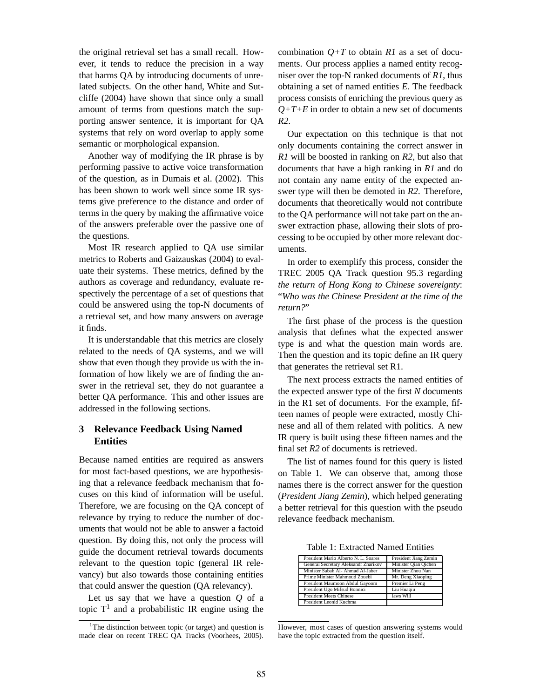the original retrieval set has a small recall. However, it tends to reduce the precision in a way that harms QA by introducing documents of unrelated subjects. On the other hand, White and Sutcliffe (2004) have shown that since only a small amount of terms from questions match the supporting answer sentence, it is important for QA systems that rely on word overlap to apply some semantic or morphological expansion.

Another way of modifying the IR phrase is by performing passive to active voice transformation of the question, as in Dumais et al. (2002). This has been shown to work well since some IR systems give preference to the distance and order of terms in the query by making the affirmative voice of the answers preferable over the passive one of the questions.

Most IR research applied to QA use similar metrics to Roberts and Gaizauskas (2004) to evaluate their systems. These metrics, defined by the authors as coverage and redundancy, evaluate respectively the percentage of a set of questions that could be answered using the top-N documents of a retrieval set, and how many answers on average it finds.

It is understandable that this metrics are closely related to the needs of QA systems, and we will show that even though they provide us with the information of how likely we are of finding the answer in the retrieval set, they do not guarantee a better QA performance. This and other issues are addressed in the following sections.

## **3 Relevance Feedback Using Named Entities**

Because named entities are required as answers for most fact-based questions, we are hypothesising that a relevance feedback mechanism that focuses on this kind of information will be useful. Therefore, we are focusing on the QA concept of relevance by trying to reduce the number of documents that would not be able to answer a factoid question. By doing this, not only the process will guide the document retrieval towards documents relevant to the question topic (general IR relevancy) but also towards those containing entities that could answer the question (QA relevancy).

Let us say that we have a question *Q* of a topic  $T<sup>1</sup>$  and a probabilistic IR engine using the

combination  $Q+T$  to obtain  $R1$  as a set of documents. Our process applies a named entity recogniser over the top-N ranked documents of *R1*, thus obtaining a set of named entities *E*. The feedback process consists of enriching the previous query as  $Q+T+E$  in order to obtain a new set of documents *R2*.

Our expectation on this technique is that not only documents containing the correct answer in *R1* will be boosted in ranking on *R2*, but also that documents that have a high ranking in *R1* and do not contain any name entity of the expected answer type will then be demoted in *R2*. Therefore, documents that theoretically would not contribute to the QA performance will not take part on the answer extraction phase, allowing their slots of processing to be occupied by other more relevant documents.

In order to exemplify this process, consider the TREC 2005 QA Track question 95.3 regarding *the return of Hong Kong to Chinese sovereignty*: "*Who was the Chinese President at the time of the return?*"

The first phase of the process is the question analysis that defines what the expected answer type is and what the question main words are. Then the question and its topic define an IR query that generates the retrieval set R1.

The next process extracts the named entities of the expected answer type of the first *N* documents in the R1 set of documents. For the example, fifteen names of people were extracted, mostly Chinese and all of them related with politics. A new IR query is built using these fifteen names and the final set *R2* of documents is retrieved.

The list of names found for this query is listed on Table 1. We can observe that, among those names there is the correct answer for the question (*President Jiang Zemin*), which helped generating a better retrieval for this question with the pseudo relevance feedback mechanism.

Table 1: Extracted Named Entities

| President Mario Alberto N. L. Soares | President Jiang Zemin |
|--------------------------------------|-----------------------|
| General Secretary Aleksandr Zharikov | Minister Qian Qichen  |
| Minister Sabah Al- Ahmad Al-Jaber    | Minister Zhou Nan     |
| Prime Minister Mahmoud Zouebi        | Mr. Deng Xiaoping     |
| President Maumoon Abdul Gayoom       | Premier Li Peng       |
| President Ugo Mifsud Bonnici         | Liu Huagiu            |
| <b>President Meets Chinese</b>       | laws Will             |
| President Leonid Kuchma              |                       |

However, most cases of question answering systems would have the topic extracted from the question itself.

<sup>&</sup>lt;sup>1</sup>The distinction between topic (or target) and question is made clear on recent TREC QA Tracks (Voorhees, 2005).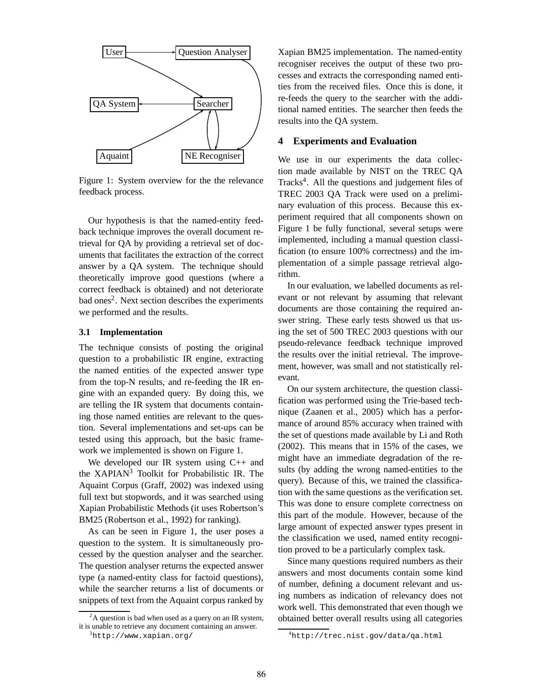

Figure 1: System overview for the the relevance feedback process.

Our hypothesis is that the named-entity feedback technique improves the overall document retrieval for QA by providing a retrieval set of documents that facilitates the extraction of the correct answer by a QA system. The technique should theoretically improve good questions (where a correct feedback is obtained) and not deteriorate bad ones<sup>2</sup>. Next section describes the experiments we performed and the results.

#### **3.1 Implementation**

The technique consists of posting the original question to a probabilistic IR engine, extracting the named entities of the expected answer type from the top-N results, and re-feeding the IR engine with an expanded query. By doing this, we are telling the IR system that documents containing those named entities are relevant to the question. Several implementations and set-ups can be tested using this approach, but the basic framework we implemented is shown on Figure 1.

We developed our IR system using C++ and the XAPIAN<sup>3</sup> Toolkit for Probabilistic IR. The Aquaint Corpus (Graff, 2002) was indexed using full text but stopwords, and it was searched using Xapian Probabilistic Methods (it uses Robertson's BM25 (Robertson et al., 1992) for ranking).

As can be seen in Figure 1, the user poses a question to the system. It is simultaneously processed by the question analyser and the searcher. The question analyser returns the expected answer type (a named-entity class for factoid questions), while the searcher returns a list of documents or snippets of text from the Aquaint corpus ranked by

Xapian BM25 implementation. The named-entity recogniser receives the output of these two processes and extracts the corresponding named entities from the received files. Once this is done, it re-feeds the query to the searcher with the additional named entities. The searcher then feeds the results into the QA system.

#### **4 Experiments and Evaluation**

We use in our experiments the data collection made available by NIST on the TREC QA Tracks<sup>4</sup>. All the questions and judgement files of TREC 2003 QA Track were used on a preliminary evaluation of this process. Because this experiment required that all components shown on Figure 1 be fully functional, several setups were implemented, including a manual question classification (to ensure 100% correctness) and the implementation of a simple passage retrieval algorithm.

In our evaluation, we labelled documents as relevant or not relevant by assuming that relevant documents are those containing the required answer string. These early tests showed us that using the set of 500 TREC 2003 questions with our pseudo-relevance feedback technique improved the results over the initial retrieval. The improvement, however, was small and not statistically relevant.

On our system architecture, the question classification was performed using the Trie-based technique (Zaanen et al., 2005) which has a performance of around 85% accuracy when trained with the set of questions made available by Li and Roth (2002). This means that in 15% of the cases, we might have an immediate degradation of the results (by adding the wrong named-entities to the query). Because of this, we trained the classification with the same questions as the verification set. This was done to ensure complete correctness on this part of the module. However, because of the large amount of expected answer types present in the classification we used, named entity recognition proved to be a particularly complex task.

Since many questions required numbers as their answers and most documents contain some kind of number, defining a document relevant and using numbers as indication of relevancy does not work well. This demonstrated that even though we obtained better overall results using all categories

 ${}^{2}$ A question is bad when used as a query on an IR system, it is unable to retrieve any document containing an answer.

<sup>3</sup>http://www.xapian.org/

<sup>4</sup>http://trec.nist.gov/data/qa.html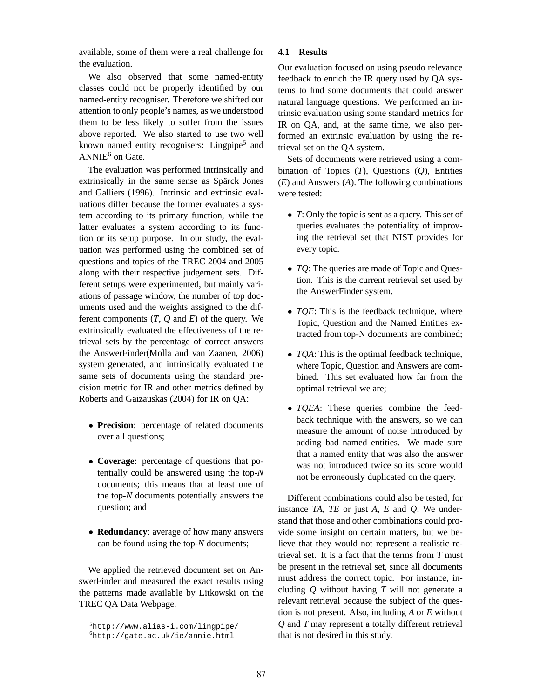available, some of them were a real challenge for the evaluation.

We also observed that some named-entity classes could not be properly identified by our named-entity recogniser. Therefore we shifted our attention to only people's names, as we understood them to be less likely to suffer from the issues above reported. We also started to use two well known named entity recognisers: Lingpipe<sup>5</sup> and  $ANNIE<sup>6</sup>$  on Gate.

The evaluation was performed intrinsically and extrinsically in the same sense as Spärck Jones and Galliers (1996). Intrinsic and extrinsic evaluations differ because the former evaluates a system according to its primary function, while the latter evaluates a system according to its function or its setup purpose. In our study, the evaluation was performed using the combined set of questions and topics of the TREC 2004 and 2005 along with their respective judgement sets. Different setups were experimented, but mainly variations of passage window, the number of top documents used and the weights assigned to the different components (*T*, *Q* and *E*) of the query. We extrinsically evaluated the effectiveness of the retrieval sets by the percentage of correct answers the AnswerFinder(Molla and van Zaanen, 2006) system generated, and intrinsically evaluated the same sets of documents using the standard precision metric for IR and other metrics defined by Roberts and Gaizauskas (2004) for IR on QA:

- **Precision**: percentage of related documents over all questions;
- **Coverage**: percentage of questions that potentially could be answered using the top-*N* documents; this means that at least one of the top-*N* documents potentially answers the question; and
- **Redundancy**: average of how many answers can be found using the top-*N* documents;

We applied the retrieved document set on AnswerFinder and measured the exact results using the patterns made available by Litkowski on the TREC QA Data Webpage.

#### **4.1 Results**

Our evaluation focused on using pseudo relevance feedback to enrich the IR query used by QA systems to find some documents that could answer natural language questions. We performed an intrinsic evaluation using some standard metrics for IR on QA, and, at the same time, we also performed an extrinsic evaluation by using the retrieval set on the QA system.

Sets of documents were retrieved using a combination of Topics (*T*), Questions (*Q*), Entities (*E*) and Answers (*A*). The following combinations were tested:

- *T*: Only the topic is sent as a query. This set of queries evaluates the potentiality of improving the retrieval set that NIST provides for every topic.
- *TQ*: The queries are made of Topic and Question. This is the current retrieval set used by the AnswerFinder system.
- *TOE*: This is the feedback technique, where Topic, Question and the Named Entities extracted from top-N documents are combined;
- *TQA*: This is the optimal feedback technique, where Topic, Question and Answers are combined. This set evaluated how far from the optimal retrieval we are;
- *TQEA*: These queries combine the feedback technique with the answers, so we can measure the amount of noise introduced by adding bad named entities. We made sure that a named entity that was also the answer was not introduced twice so its score would not be erroneously duplicated on the query.

Different combinations could also be tested, for instance *TA*, *TE* or just *A*, *E* and *Q*. We understand that those and other combinations could provide some insight on certain matters, but we believe that they would not represent a realistic retrieval set. It is a fact that the terms from *T* must be present in the retrieval set, since all documents must address the correct topic. For instance, including *Q* without having *T* will not generate a relevant retrieval because the subject of the question is not present. Also, including *A* or *E* without *Q* and *T* may represent a totally different retrieval that is not desired in this study.

<sup>5</sup>http://www.alias-i.com/lingpipe/

<sup>6</sup>http://gate.ac.uk/ie/annie.html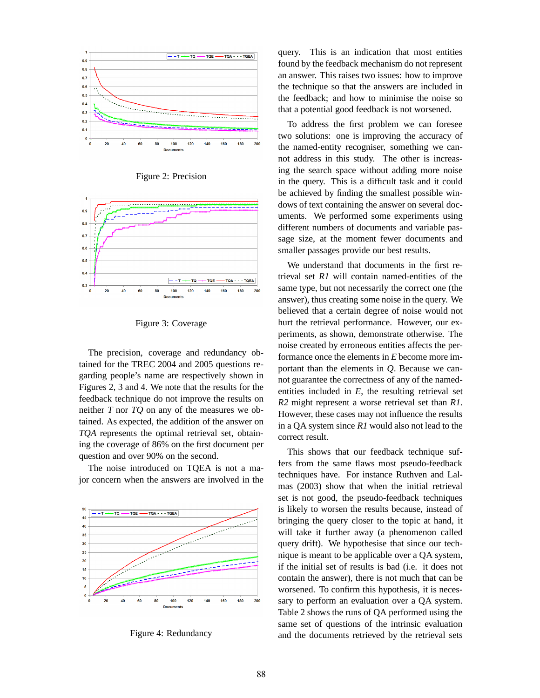

Figure 2: Precision



Figure 3: Coverage

The precision, coverage and redundancy obtained for the TREC 2004 and 2005 questions regarding people's name are respectively shown in Figures 2, 3 and 4. We note that the results for the feedback technique do not improve the results on neither *T* nor *TQ* on any of the measures we obtained. As expected, the addition of the answer on *TQA* represents the optimal retrieval set, obtaining the coverage of 86% on the first document per question and over 90% on the second.

The noise introduced on TQEA is not a major concern when the answers are involved in the



Figure 4: Redundancy

query. This is an indication that most entities found by the feedback mechanism do not represent an answer. This raises two issues: how to improve the technique so that the answers are included in the feedback; and how to minimise the noise so that a potential good feedback is not worsened.

To address the first problem we can foresee two solutions: one is improving the accuracy of the named-entity recogniser, something we cannot address in this study. The other is increasing the search space without adding more noise in the query. This is a difficult task and it could be achieved by finding the smallest possible windows of text containing the answer on several documents. We performed some experiments using different numbers of documents and variable passage size, at the moment fewer documents and smaller passages provide our best results.

We understand that documents in the first retrieval set *R1* will contain named-entities of the same type, but not necessarily the correct one (the answer), thus creating some noise in the query. We believed that a certain degree of noise would not hurt the retrieval performance. However, our experiments, as shown, demonstrate otherwise. The noise created by erroneous entities affects the performance once the elements in *E* become more important than the elements in *Q*. Because we cannot guarantee the correctness of any of the namedentities included in *E*, the resulting retrieval set *R2* might represent a worse retrieval set than *R1*. However, these cases may not influence the results in a QA system since *R1* would also not lead to the correct result.

This shows that our feedback technique suffers from the same flaws most pseudo-feedback techniques have. For instance Ruthven and Lalmas (2003) show that when the initial retrieval set is not good, the pseudo-feedback techniques is likely to worsen the results because, instead of bringing the query closer to the topic at hand, it will take it further away (a phenomenon called query drift). We hypothesise that since our technique is meant to be applicable over a QA system, if the initial set of results is bad (i.e. it does not contain the answer), there is not much that can be worsened. To confirm this hypothesis, it is necessary to perform an evaluation over a QA system. Table 2 shows the runs of QA performed using the same set of questions of the intrinsic evaluation and the documents retrieved by the retrieval sets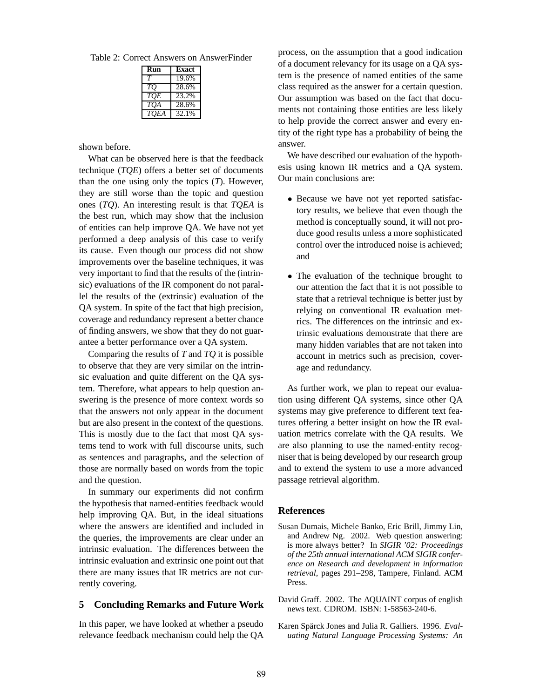Table 2: Correct Answers on AnswerFinder

| Run        | Exact |
|------------|-------|
|            | 19.6% |
| TO         | 28.6% |
| TOE        | 23.2% |
| <b>TOA</b> | 28.6% |
| TOEA       | 32.1% |

shown before.

What can be observed here is that the feedback technique (*TQE*) offers a better set of documents than the one using only the topics (*T*). However, they are still worse than the topic and question ones (*TQ*). An interesting result is that *TQEA* is the best run, which may show that the inclusion of entities can help improve QA. We have not yet performed a deep analysis of this case to verify its cause. Even though our process did not show improvements over the baseline techniques, it was very important to find that the results of the (intrinsic) evaluations of the IR component do not parallel the results of the (extrinsic) evaluation of the QA system. In spite of the fact that high precision, coverage and redundancy represent a better chance of finding answers, we show that they do not guarantee a better performance over a QA system.

Comparing the results of *T* and *TQ* it is possible to observe that they are very similar on the intrinsic evaluation and quite different on the QA system. Therefore, what appears to help question answering is the presence of more context words so that the answers not only appear in the document but are also present in the context of the questions. This is mostly due to the fact that most QA systems tend to work with full discourse units, such as sentences and paragraphs, and the selection of those are normally based on words from the topic and the question.

In summary our experiments did not confirm the hypothesis that named-entities feedback would help improving QA. But, in the ideal situations where the answers are identified and included in the queries, the improvements are clear under an intrinsic evaluation. The differences between the intrinsic evaluation and extrinsic one point out that there are many issues that IR metrics are not currently covering.

#### **5 Concluding Remarks and Future Work**

In this paper, we have looked at whether a pseudo relevance feedback mechanism could help the QA

process, on the assumption that a good indication of a document relevancy for its usage on a QA system is the presence of named entities of the same class required as the answer for a certain question. Our assumption was based on the fact that documents not containing those entities are less likely to help provide the correct answer and every entity of the right type has a probability of being the answer.

We have described our evaluation of the hypothesis using known IR metrics and a QA system. Our main conclusions are:

- Because we have not yet reported satisfactory results, we believe that even though the method is conceptually sound, it will not produce good results unless a more sophisticated control over the introduced noise is achieved; and
- The evaluation of the technique brought to our attention the fact that it is not possible to state that a retrieval technique is better just by relying on conventional IR evaluation metrics. The differences on the intrinsic and extrinsic evaluations demonstrate that there are many hidden variables that are not taken into account in metrics such as precision, coverage and redundancy.

As further work, we plan to repeat our evaluation using different QA systems, since other QA systems may give preference to different text features offering a better insight on how the IR evaluation metrics correlate with the QA results. We are also planning to use the named-entity recogniser that is being developed by our research group and to extend the system to use a more advanced passage retrieval algorithm.

#### **References**

- Susan Dumais, Michele Banko, Eric Brill, Jimmy Lin, and Andrew Ng. 2002. Web question answering: is more always better? In *SIGIR '02: Proceedings of the 25th annual international ACM SIGIR conference on Research and development in information retrieval*, pages 291–298, Tampere, Finland. ACM Press.
- David Graff. 2002. The AQUAINT corpus of english news text. CDROM. ISBN: 1-58563-240-6.
- Karen Spärck Jones and Julia R. Galliers. 1996. *Evaluating Natural Language Processing Systems: An*